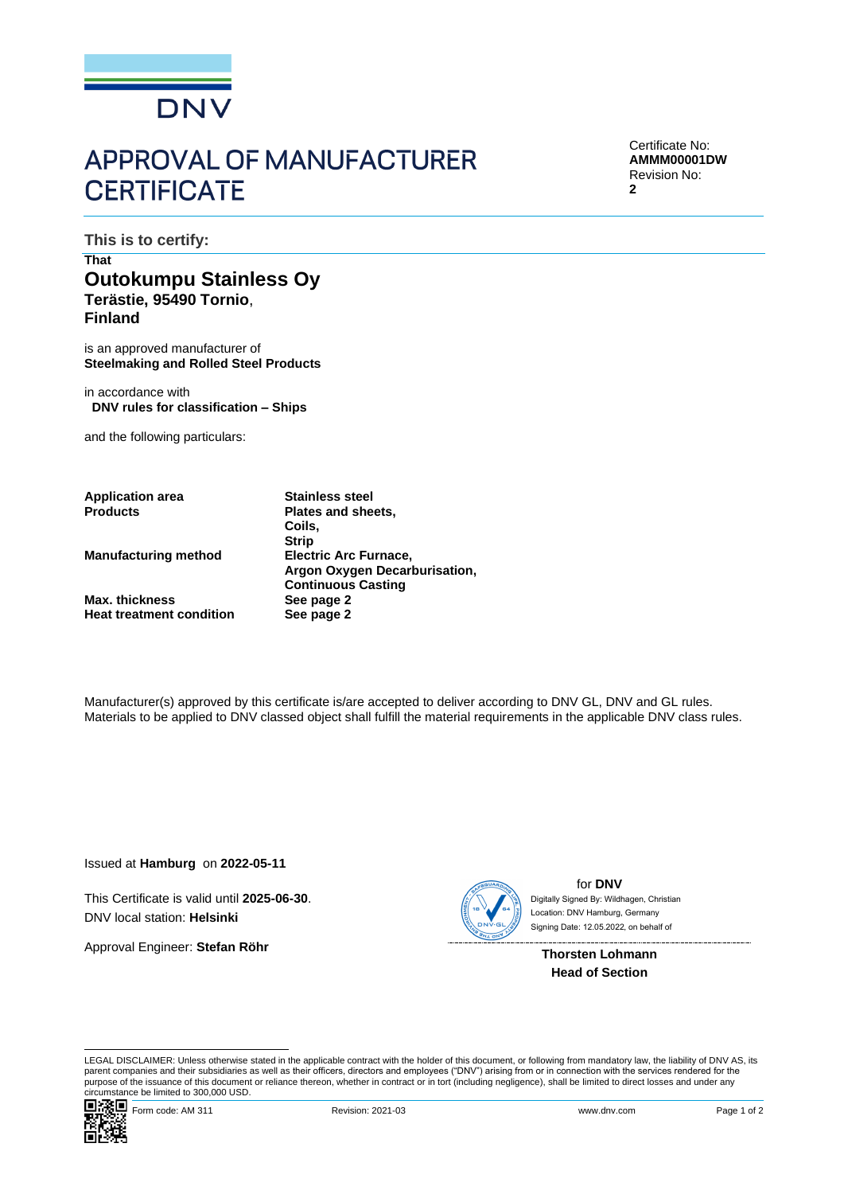

# **APPROVAL OF MANUFACTURER CERTIFICATE**

Certificate No: **AMMM00001DW** Revision No: **2**

**This is to certify:**

## **That Outokumpu Stainless Oy Terästie, 95490 Tornio**, **Finland**

is an approved manufacturer of **Steelmaking and Rolled Steel Products**

in accordance with **DNV rules for classification – Ships**

and the following particulars:

**Application area Stainless steel**

**Manufacturing method Electric Arc Furnace,**

**Max. thickness See page 2**<br> **Paramet Algebrary See page 2 Heat treatment condition** 

**Plates and sheets, Coils, Strip Argon Oxygen Decarburisation, Continuous Casting**

Manufacturer(s) approved by this certificate is/are accepted to deliver according to DNV GL, DNV and GL rules. Materials to be applied to DNV classed object shall fulfill the material requirements in the applicable DNV class rules.

Issued at **Hamburg** on **2022-05-11**

This Certificate is valid until **2025-06-30**. DNV local station: **Helsinki**

Approval Engineer: **Stefan Röhr**



for **DNV** Signing Date: 12.05.2022 , on behalf ofDigitally Signed By: Wildhagen, Christian Location: DNV Hamburg, Germany

**Thorsten Lohmann Head of Section**

LEGAL DISCLAIMER: Unless otherwise stated in the applicable contract with the holder of this document, or following from mandatory law, the liability of DNV AS, its parent companies and their subsidiaries as well as their officers, directors and employees ("DNV") arising from or in connection with the services rendered for the purpose of the issuance of this document or reliance thereon, whether in contract or in tort (including negligence), shall be limited to direct losses and under any circumstance be limited to 300,000 USD.